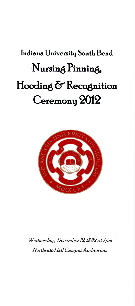# **Indiana University South Bend Nursing Pinning, Hooding & Recognition**  Ceremony 2012



*Wednesdm:t , Decemher 12, 2012 at 7pm Northside Hall Campus Auditorium*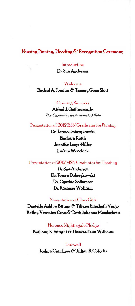## Nursing Pinning, Hooding & Recognition Ceremony

Introduction

Dr. Sue Anderson

Welcome Rachel A. Jozaites & Tammy Gene Slott

#### Opening Remarks

Alfred J. Guillaume, Jr. Vice Chancellor for Academic Affairs

### Presentation of 2012 BSN Graduates for Pinning

Dr. Teresa Dobrzukowski **Barbara** Keith Jennifer Loop-Miller LuAnn Woodrick

### Presentation of 2012 MSN Graduates for Hooding

Dr. Sue Anderson Dr. Teresa Dobrzukowski Dr. Cunthia Sofhauser Dr. Roxanne Wolfram

#### Presentation of Class Gifts

Danielle Ashlyn Bittner & Tiffany Elizabeth Vargo Kelley Veronica Cross & Beth Johanna Mondschein

#### Florence Nightingale Pledge

Bethanu K Wright & Desiree Dian Williams

Farewell Joshua Cain Leer & Jillian R Colpitts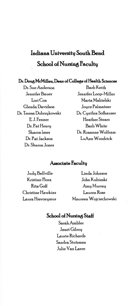# **Indiana University South Bend School of Nursing Faculty**

### **Dr. Doug McMillen, Deo.n** *ol* **College** *ol* **Health Sciences**

Dr. Sue Anderson Jennifer Bauer Lori Cox Glenda Davidson Dr. Teresa Dobrzykowski EJ. Fenner Dr. Pat Henru Sharon Imes Dr. Pat Jackson Dr. Sharon Jones

Barb Keith Jennifer Loop-Miller Marta Makielski Joyce Palmateer Dr. Cynthia Sofhauser Heather Stears Barb White Dr. Roxanne Wolfram LuAnn Woodrick

### **Associate Facultu**

Judy Bellville Kristine Flora Rita Goff Christine Hawkins Laura Hieronymus

Linda Johnson John Kubinski Amy Murray Lauren Rose Maureen Wojciechowski

# **School of Nursing Staff**

Sarah Ambler Janet Gilroy Laurie Richards Sandra Stutzman Julie Van Laere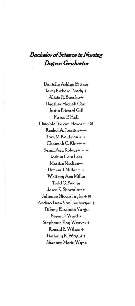# $Bachelor$  of *Science* in Nursing  $Degree$  *Graduates*

Danielle Ashlyn Bittner Terry Richard Brady + Alicia R Bueche+ Heather Michell Cain Justin Edward Gill KarenEHall  $O$ molola Ibukun Idowu  $++$   $\#$  $Rachel A Jozaites++$ TaraM.Kaufman++  $Channah C. Klor++$ Sarah Ann Kolacz+ + + Joshua Cain Leer Maritza Medina+ Bonnie J. Miller++ Whitney Ann Miller Todd G. Penner Jason K. Showalter+ Julianne Nicole Taylor+ \* Andrea Bree VanHimbergen + Tiffany Elizabeth Vargo Kiera D. Ward+ Stephanie Kay Weaver+ Ronald E Wilson + Bethany K. Wright+ Shannon Marie Wynn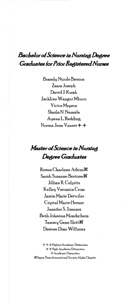# **Bachelor of Science in Nursing Degree Graduates for Prior Registered Nurses**

**Brandy Nicole Benton** Zsara Joseph David J. Kwak Jackline Wangui Mburu **Victor Mzyece** Sheila N. Namale Ayana L. Redding Norma Jean Vanest + +

# Master of Science in Nursing Degree Graduates

Renea Charlene Atkins<sup>36</sup> Sarah Suzanne Bortone 36 Jillian R. Colpitts Kelley Veronica Cross Jamie Marie Detwiler Crystal Marie Horner Jennifer S. Jimenez Beth Johanna Mondschein Tammy Gene Slott 36 Desiree Dian Williams

+ + + Highest Academic Distinction + + High Academic Distinction + Academic Distinction *Sigma* Theta International Society Alpha Chapter